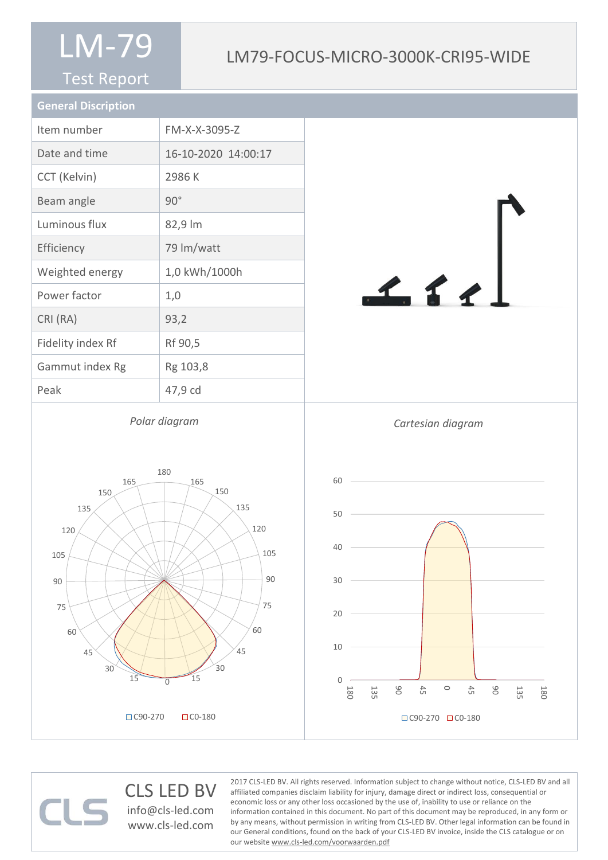#### Test Report

#### LM79-FOCUS-MICRO-3000K-CRI95-WIDE

| <b>General Discription</b> |                     |
|----------------------------|---------------------|
| Item number                | FM-X-X-3095-Z       |
| Date and time              | 16-10-2020 14:00:17 |
| CCT (Kelvin)               | 2986 K              |
| Beam angle                 | $90^\circ$          |
| Luminous flux              | 82,9 lm             |
| Efficiency                 | 79 lm/watt          |
| Weighted energy            | 1,0 kWh/1000h       |
| Power factor               | 1,0                 |
| CRI (RA)                   | 93,2                |
| Fidelity index Rf          | Rf 90,5             |
| Gammut index Rg            | Rg 103,8            |
| Peak                       | 47,9 cd             |
|                            |                     |

*Polar diagram*

 $111$ 



#### CLS LED BV info@cls-led.com

www.cls-led.com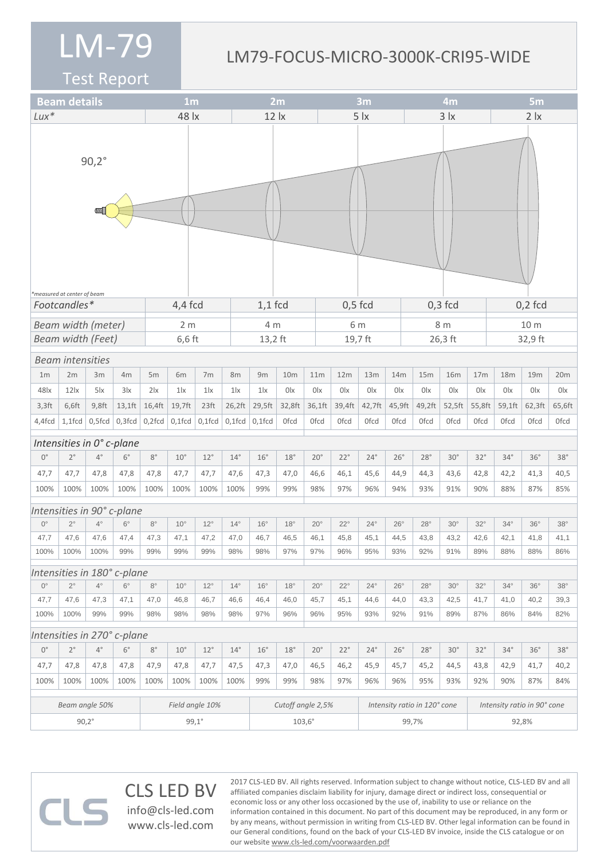#### LM79-FOCUS-MICRO-3000K-CRI95-WIDE

Test Report

 $\Box$ 

|                                      | <b>Beam details</b><br>1 <sub>m</sub> |              |                             |                 |              | 2m                                     |              |                   |                 |            | 3m<br>4m     |              |                              |              | 5 <sub>m</sub> |              |                 |                             |             |                  |  |
|--------------------------------------|---------------------------------------|--------------|-----------------------------|-----------------|--------------|----------------------------------------|--------------|-------------------|-----------------|------------|--------------|--------------|------------------------------|--------------|----------------|--------------|-----------------|-----------------------------|-------------|------------------|--|
| $Lux*$                               | 48 lx                                 |              |                             |                 |              | $12$ $\overline{\phantom{1}}$ $\times$ |              |                   |                 | 5 <i>x</i> |              |              | $3 \mid x$                   |              |                | 2 <i>x</i>   |                 |                             |             |                  |  |
|                                      | measured at center of beam            | $90,2^\circ$ |                             |                 |              |                                        |              |                   |                 |            |              |              |                              |              |                |              |                 |                             |             |                  |  |
| $4,4$ fcd<br>Footcandles*            |                                       |              |                             |                 |              |                                        | $1,1$ fcd    |                   |                 |            | $0,5$ fcd    |              |                              | $0,3$ fcd    |                |              | $0,2$ fcd       |                             |             |                  |  |
| Beam width (meter)<br>2 <sub>m</sub> |                                       |              |                             |                 |              |                                        | 4 m          |                   |                 | 6 m        |              |              |                              | 8 m          |                |              | 10 m            |                             |             |                  |  |
|                                      | <b>Beam width (Feet)</b>              |              |                             |                 | $6,6$ ft     |                                        |              | 13,2 ft           |                 |            |              | 19,7 ft      |                              |              |                | 26,3 ft      |                 | 32,9 ft                     |             |                  |  |
|                                      | <b>Beam intensities</b>               |              |                             |                 |              |                                        |              |                   |                 |            |              |              |                              |              |                |              |                 |                             |             |                  |  |
| 1 <sub>m</sub>                       | 2m                                    | 3m           | 4m                          | 5m              | 6m           | 7m                                     | 8m           | 9m                | 10 <sub>m</sub> |            | 11m          | 12m          | 13m                          | 14m          | 15m            | <b>16m</b>   | 17 <sub>m</sub> | 18m                         | 19m         | 20m              |  |
| 48lx                                 | 12 <sub>x</sub>                       | $5\text{lx}$ | 3x                          | 2 <sub>x</sub>  | 1 x          | $1\text{lx}$                           | 1 x          | $1\text{lx}$      | 0lx             | 0lx        |              | 0lx          | 0lx                          | 0lx          | 0 <sup>l</sup> | 0lx          | 0lx             | 0lx                         | 0lx         | 0lx              |  |
| $3,3$ ft                             | 6,6ft                                 | $9,8$ ft     | $13,1$ ft                   | 16,4ft          | 19,7ft       | 23 <sup>ft</sup>                       | 26,2ft       | 29,5ft            | 32,8ft          | 36,1ft     |              | 39,4ft       | 42,7ft                       | 45,9ft       | 49,2ft         | 52,5ft       | 55,8ft          | 59,1ft                      | 62,3ft      | 65,6ft           |  |
| 4,4fcd                               | $1,1$ fcd                             | 0,5fcd       | $0,3$ fcd                   | $0,2$ fcd       | $0,1$ fcd    | $0,1$ fcd                              | $0,1$ fcd    | $0,1$ fcd         | <b>Ofcd</b>     |            | <b>Ofcd</b>  | 0fcd         | <b>Ofcd</b>                  | <b>Ofcd</b>  | <b>Ofcd</b>    | <b>Ofcd</b>  | Ofcd            | <b>Ofcd</b>                 | <b>Ofcd</b> | 0 <sub>fcd</sub> |  |
|                                      | Intensities in 0° c-plane             |              |                             |                 |              |                                        |              |                   |                 |            |              |              |                              |              |                |              |                 |                             |             |                  |  |
| $0^{\circ}$                          | $2^{\circ}$                           | $4^{\circ}$  | $6^{\circ}$                 | $8^{\circ}$     | $10^{\circ}$ | $12^{\circ}$                           | $14^{\circ}$ | $16^{\circ}$      | 18°             |            | $20^{\circ}$ | $22^{\circ}$ | $24^{\circ}$                 | $26^\circ$   | $28^\circ$     | $30^{\circ}$ | $32^\circ$      | $34^\circ$                  | 36°         | $38^\circ$       |  |
| 47,7                                 | 47,7                                  | 47,8         | 47,8                        | 47,8            | 47,7         | 47,7                                   | 47,6         | 47,3              | 47,0            |            | 46,6         | 46,1         | 45,6                         | 44,9         | 44,3           | 43,6         | 42,8            | 42,2                        | 41,3        | 40,5             |  |
| 100%                                 | 100%                                  | 100%         | 100%                        | 100%            | 100%         | 100%                                   | 100%         | 99%               | 99%             |            | 98%          | 97%          | 96%                          | 94%          | 93%            | 91%          | 90%             | 88%                         | 87%         | 85%              |  |
|                                      |                                       |              | Intensities in 90° c-plane  |                 |              |                                        |              |                   |                 |            |              |              |                              |              |                |              |                 |                             |             |                  |  |
| $0^{\circ}$                          | $2^{\circ}$                           | $4^\circ$    | $6^{\circ}$                 | $8^{\circ}$     | $10^{\circ}$ | $12^{\circ}$                           | $14^{\circ}$ | $16^{\circ}$      | $18^{\circ}$    |            | $20^{\circ}$ | $22^{\circ}$ | $24^{\circ}$                 | $26^{\circ}$ | $28^\circ$     | $30^\circ$   | $32^\circ$      | $34^\circ$                  | $36^\circ$  | $38^\circ$       |  |
| 47,7                                 | 47,6                                  | 47,6         | 47,4                        | 47,3            | 47,1         | 47,2                                   | 47,0         | 46,7              | 46,5            |            | 46,1         | 45,8         | 45,1                         | 44,5         | 43,8           | 43,2         | 42,6            | 42,1                        | 41,8        | 41,1             |  |
| 100%                                 | 100%                                  | 100%         | 99%                         | 99%             | 99%          | 99%                                    | 98%          | 98%               | 97%             |            | 97%          | 96%          | 95%                          | 93%          | 92%            | 91%          | 89%             | 88%                         | 88%         | 86%              |  |
|                                      |                                       |              | Intensities in 180° c-plane |                 |              |                                        |              |                   |                 |            |              |              |                              |              |                |              |                 |                             |             |                  |  |
| $0^{\circ}$                          | $2^{\circ}$                           | $4^{\circ}$  | $6^{\circ}$                 | $8^{\circ}$     | $10^{\circ}$ | $12^{\circ}$                           | $14^{\circ}$ | $16^{\circ}$      | $18^\circ$      |            | $20^{\circ}$ | $22^{\circ}$ | $24^{\circ}$                 | $26^{\circ}$ | $28^\circ$     | $30^\circ$   | $32^\circ$      | $34^\circ$                  | $36^\circ$  | $38^\circ$       |  |
| 47,7                                 | 47,6                                  | 47,3         | 47,1                        | 47,0            | 46,8         | 46,7                                   | 46,6         | 46,4              | 46,0            |            | 45,7         | 45,1         | 44,6                         | 44,0         | 43,3           | 42,5         | 41,7            | 41,0                        | 40,2        | 39,3             |  |
| 100%                                 | 100%                                  | 99%          | 99%                         | 98%             | 98%          | 98%                                    | 98%          | 97%               | 96%             |            | 96%          | 95%          | 93%                          | 92%          | 91%            | 89%          | 87%             | 86%                         | 84%         | 82%              |  |
|                                      |                                       |              | Intensities in 270° c-plane |                 |              |                                        |              |                   |                 |            |              |              |                              |              |                |              |                 |                             |             |                  |  |
| $0^{\circ}$                          | $2^{\circ}$                           | $4^{\circ}$  | $6^{\circ}$                 | $8^{\circ}$     | $10^{\circ}$ | $12^{\circ}$                           | $14^{\circ}$ | $16^{\circ}$      | 18°             |            | $20^{\circ}$ | $22^{\circ}$ | $24^{\circ}$                 | $26^\circ$   | 28°            | $30^\circ$   | $32^\circ$      | $34^\circ$                  | 36°         | $38^\circ$       |  |
| 47,7                                 | 47,8                                  | 47,8         | 47,8                        | 47,9            | 47,8         | 47,7                                   | 47,5         | 47,3              | 47,0            |            | 46,5         | 46,2         | 45,9                         | 45,7         | 45,2           | 44,5         | 43,8            | 42,9                        | 41,7        | 40,2             |  |
| 100%                                 | 100%                                  | 100%         | 100%                        | 100%            | 100%         | 100%                                   | 100%         | 99%               | 99%             |            | 98%          | 97%          | 96%                          | 96%          | 95%            | 93%          | 92%             | 90%                         | 87%         | 84%              |  |
|                                      | Beam angle 50%                        |              |                             | Field angle 10% |              |                                        |              | Cutoff angle 2,5% |                 |            |              |              | Intensity ratio in 120° cone |              |                |              |                 | Intensity ratio in 90° cone |             |                  |  |
|                                      | $90,2^\circ$                          |              |                             | $99,1^\circ$    |              |                                        |              | $103,6^\circ$     |                 |            |              |              | 99,7%                        |              |                |              |                 | 92,8%                       |             |                  |  |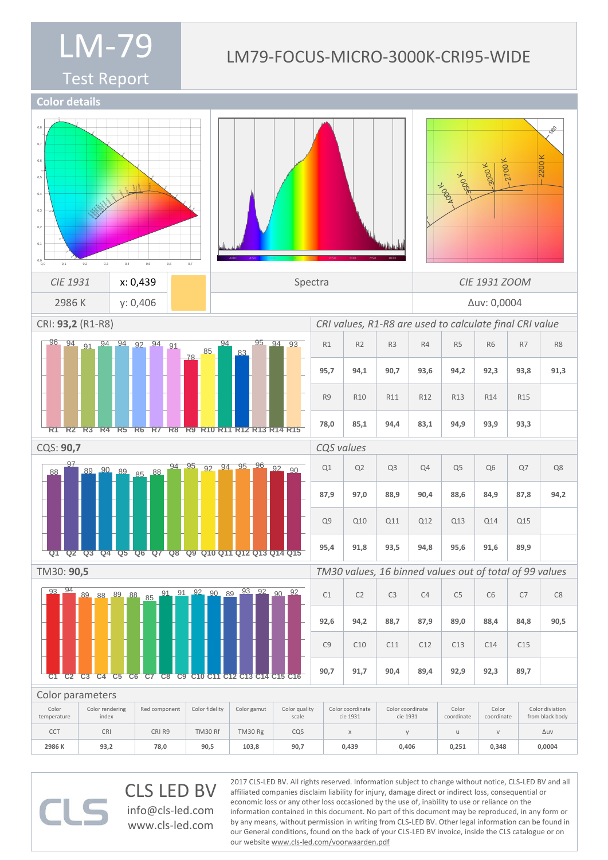#### LM79-FOCUS-MICRO-3000K-CRI95-WIDE

Test Report



CLS LED BV info@cls-led.com www.cls-led.com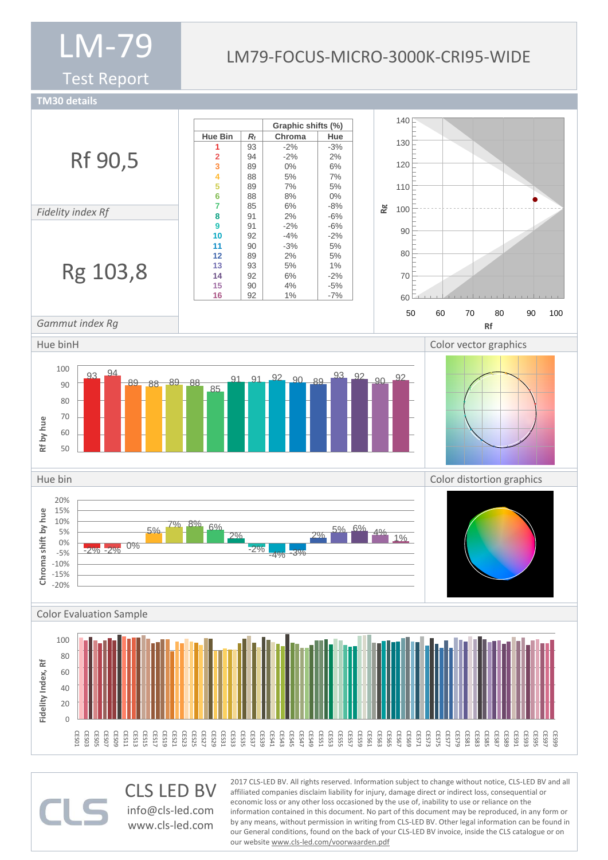Test Report

#### LM79-FOCUS-MICRO-3000K-CRI95-WIDE

**TM30 details**



CLS LED BV info@cls-led.com www.cls-led.com